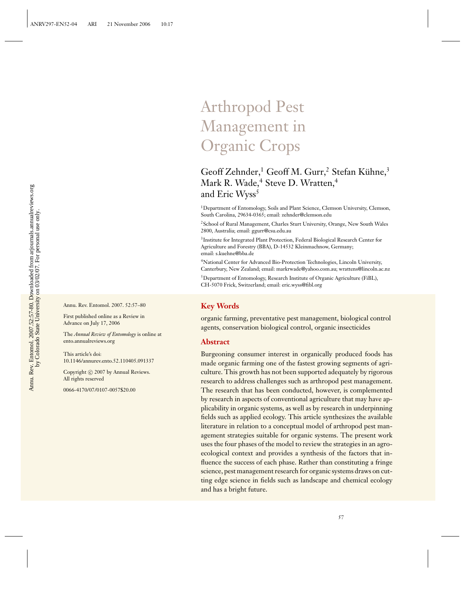# Arthropod Pest Management in Organic Crops

## Geoff Zehnder,<sup>1</sup> Geoff M. Gurr,<sup>2</sup> Stefan Kühne,<sup>3</sup> Mark R. Wade,<sup>4</sup> Steve D. Wratten,<sup>4</sup> and Eric Wyss<sup>5</sup>

<sup>1</sup>Department of Entomology, Soils and Plant Science, Clemson University, Clemson, South Carolina, 29634-0365; email: zehnder@clemson.edu

2School of Rural Management, Charles Sturt University, Orange, New South Wales 2800, Australia; email: ggurr@csu.edu.au

<sup>3</sup> Institute for Integrated Plant Protection, Federal Biological Research Center for Agriculture and Forestry (BBA), D-14532 Kleinmachnow, Germany; email: s.kuehne@bba.de

4National Center for Advanced Bio-Protection Technologies, Lincoln University, Canterbury, New Zealand; email: markrwade@yahoo.com.au; wrattens@lincoln.ac.nz

5Department of Entomology, Research Institute of Organic Agriculture (FiBL), CH-5070 Frick, Switzerland; email: eric.wyss@fibl.org

Annu. Rev. Entomol. 2007. 52:57–80

First published online as a Review in Advance on July 17, 2006

The *Annual Review of Entomology* is online at ento.annualreviews.org

This article's doi: 10.1146/annurev.ento.52.110405.091337

Copyright  $\odot$  2007 by Annual Reviews. All rights reserved

0066-4170/07/0107-0057\$20.00

#### **Key Words**

organic farming, preventative pest management, biological control agents, conservation biological control, organic insecticides

#### **Abstract**

Burgeoning consumer interest in organically produced foods has made organic farming one of the fastest growing segments of agriculture. This growth has not been supported adequately by rigorous research to address challenges such as arthropod pest management. The research that has been conducted, however, is complemented by research in aspects of conventional agriculture that may have applicability in organic systems, as well as by research in underpinning fields such as applied ecology. This article synthesizes the available literature in relation to a conceptual model of arthropod pest management strategies suitable for organic systems. The present work uses the four phases of the model to review the strategies in an agroecological context and provides a synthesis of the factors that influence the success of each phase. Rather than constituting a fringe science, pest management research for organic systems draws on cutting edge science in fields such as landscape and chemical ecology and has a bright future.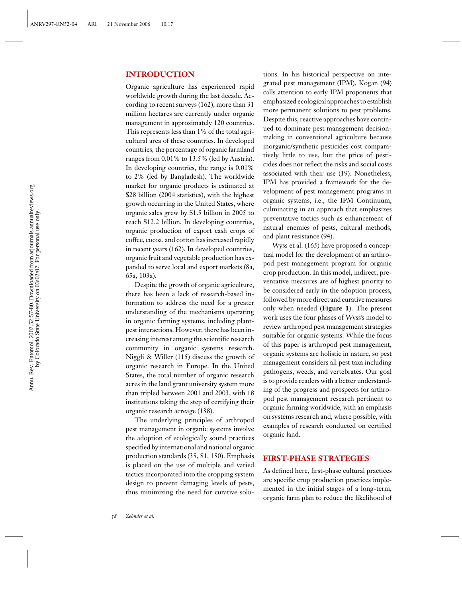#### **INTRODUCTION**

Organic agriculture has experienced rapid worldwide growth during the last decade. According to recent surveys (162), more than 31 million hectares are currently under organic management in approximately 120 countries. This represents less than 1% of the total agricultural area of these countries. In developed countries, the percentage of organic farmland ranges from 0.01% to 13.5% (led by Austria). In developing countries, the range is 0.01% to 2% (led by Bangladesh). The worldwide market for organic products is estimated at \$28 billion (2004 statistics), with the highest growth occurring in the United States, where organic sales grew by \$1.5 billion in 2005 to reach \$12.2 billion. In developing countries, organic production of export cash crops of coffee, cocoa, and cotton has increased rapidly in recent years (162). In developed countries, organic fruit and vegetable production has expanded to serve local and export markets (8a, 65a, 103a).

Despite the growth of organic agriculture, there has been a lack of research-based information to address the need for a greater understanding of the mechanisms operating in organic farming systems, including plantpest interactions. However, there has been increasing interest among the scientific research community in organic systems research. Niggli & Willer (115) discuss the growth of organic research in Europe. In the United States, the total number of organic research acres in the land grant university system more than tripled between 2001 and 2003, with 18 institutions taking the step of certifying their organic research acreage (138).

The underlying principles of arthropod pest management in organic systems involve the adoption of ecologically sound practices specified by international and national organic production standards (35, 81, 150). Emphasis is placed on the use of multiple and varied tactics incorporated into the cropping system design to prevent damaging levels of pests, thus minimizing the need for curative solu-

tions. In his historical perspective on integrated pest management (IPM), Kogan (94) calls attention to early IPM proponents that emphasized ecological approaches to establish more permanent solutions to pest problems. Despite this, reactive approaches have continued to dominate pest management decisionmaking in conventional agriculture because inorganic/synthetic pesticides cost comparatively little to use, but the price of pesticides does not reflect the risks and social costs associated with their use (19). Nonetheless, IPM has provided a framework for the development of pest management programs in organic systems, i.e., the IPM Continuum, culminating in an approach that emphasizes preventative tactics such as enhancement of natural enemies of pests, cultural methods, and plant resistance (94).

Wyss et al. (165) have proposed a conceptual model for the development of an arthropod pest management program for organic crop production. In this model, indirect, preventative measures are of highest priority to be considered early in the adoption process, followed by more direct and curative measures only when needed (**Figure 1**). The present work uses the four phases of Wyss's model to review arthropod pest management strategies suitable for organic systems. While the focus of this paper is arthropod pest management, organic systems are holistic in nature, so pest management considers all pest taxa including pathogens, weeds, and vertebrates. Our goal is to provide readers with a better understanding of the progress and prospects for arthropod pest management research pertinent to organic farming worldwide, with an emphasis on systems research and, where possible, with examples of research conducted on certified organic land.

## **FIRST-PHASE STRATEGIES**

As defined here, first-phase cultural practices are specific crop production practices implemented in the initial stages of a long-term, organic farm plan to reduce the likelihood of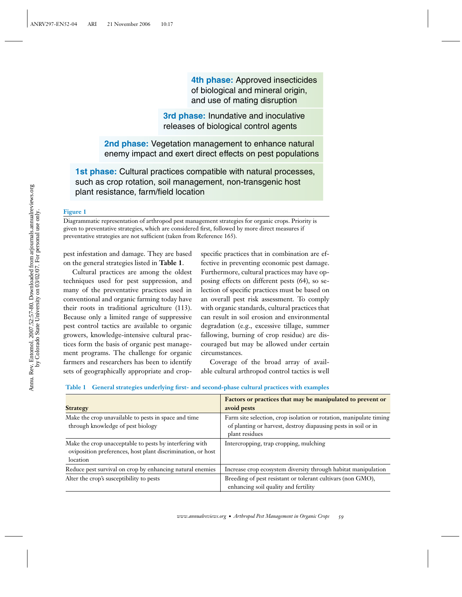**4th phase:** Approved insecticides of biological and mineral origin, and use of mating disruption

**3rd phase:** Inundative and inoculative releases of biological control agents

**2nd phase:** Vegetation management to enhance natural enemy impact and exert direct effects on pest populations

**1st phase:** Cultural practices compatible with natural processes, such as crop rotation, soil management, non-transgenic host plant resistance, farm/field location

#### **Figure 1**

Diagrammatic representation of arthropod pest management strategies for organic crops. Priority is given to preventative strategies, which are considered first, followed by more direct measures if preventative strategies are not sufficient (taken from Reference 165).

pest infestation and damage. They are based on the general strategies listed in **Table 1**.

Cultural practices are among the oldest techniques used for pest suppression, and many of the preventative practices used in conventional and organic farming today have their roots in traditional agriculture (113). Because only a limited range of suppressive pest control tactics are available to organic growers, knowledge-intensive cultural practices form the basis of organic pest management programs. The challenge for organic farmers and researchers has been to identify sets of geographically appropriate and cropspecific practices that in combination are effective in preventing economic pest damage. Furthermore, cultural practices may have opposing effects on different pests (64), so selection of specific practices must be based on an overall pest risk assessment. To comply with organic standards, cultural practices that can result in soil erosion and environmental degradation (e.g., excessive tillage, summer fallowing, burning of crop residue) are discouraged but may be allowed under certain circumstances.

Coverage of the broad array of available cultural arthropod control tactics is well

| <b>Strategy</b>                                                                                                                    | Factors or practices that may be manipulated to prevent or<br>avoid pests                                                                              |  |  |
|------------------------------------------------------------------------------------------------------------------------------------|--------------------------------------------------------------------------------------------------------------------------------------------------------|--|--|
| Make the crop unavailable to pests in space and time<br>through knowledge of pest biology                                          | Farm site selection, crop isolation or rotation, manipulate timing<br>of planting or harvest, destroy diapausing pests in soil or in<br>plant residues |  |  |
| Make the crop unacceptable to pests by interfering with<br>oviposition preferences, host plant discrimination, or host<br>location | Intercropping, trap cropping, mulching                                                                                                                 |  |  |
| Reduce pest survival on crop by enhancing natural enemies                                                                          | Increase crop ecosystem diversity through habitat manipulation                                                                                         |  |  |
| Alter the crop's susceptibility to pests                                                                                           | Breeding of pest resistant or tolerant cultivars (non GMO),<br>enhancing soil quality and fertility                                                    |  |  |

#### **Table 1 General strategies underlying first- and second-phase cultural practices with examples**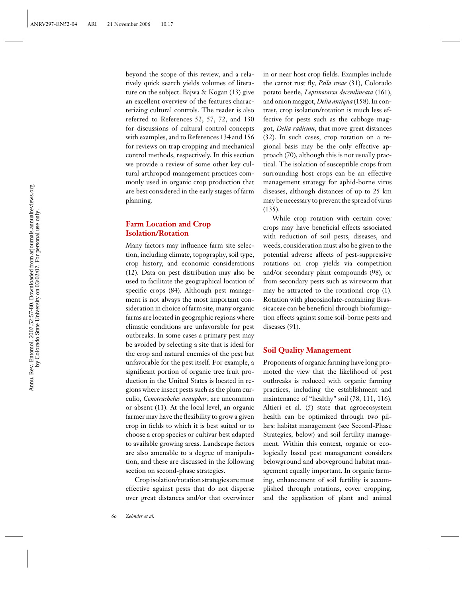beyond the scope of this review, and a relatively quick search yields volumes of literature on the subject. Bajwa & Kogan (13) give an excellent overview of the features characterizing cultural controls. The reader is also referred to References 52, 57, 72, and 130 for discussions of cultural control concepts with examples, and to References 134 and 156 for reviews on trap cropping and mechanical control methods, respectively. In this section we provide a review of some other key cultural arthropod management practices commonly used in organic crop production that are best considered in the early stages of farm planning.

#### **Farm Location and Crop Isolation/Rotation**

Many factors may influence farm site selection, including climate, topography, soil type, crop history, and economic considerations (12). Data on pest distribution may also be used to facilitate the geographical location of specific crops (84). Although pest management is not always the most important consideration in choice of farm site, many organic farms are located in geographic regions where climatic conditions are unfavorable for pest outbreaks. In some cases a primary pest may be avoided by selecting a site that is ideal for the crop and natural enemies of the pest but unfavorable for the pest itself. For example, a significant portion of organic tree fruit production in the United States is located in regions where insect pests such as the plum curculio, *Conotrachelus nenuphar*, are uncommon or absent (11). At the local level, an organic farmer may have the flexibility to grow a given crop in fields to which it is best suited or to choose a crop species or cultivar best adapted to available growing areas. Landscape factors are also amenable to a degree of manipulation, and these are discussed in the following section on second-phase strategies.

Crop isolation/rotation strategies are most effective against pests that do not disperse over great distances and/or that overwinter

in or near host crop fields. Examples include the carrot rust fly, *Psila rosae* (31), Colorado potato beetle, *Leptinotarsa decemlineata* (161), and onion maggot, *Delia antiqua* (158). In contrast, crop isolation/rotation is much less effective for pests such as the cabbage maggot, *Delia radicum*, that move great distances (32). In such cases, crop rotation on a regional basis may be the only effective approach (70), although this is not usually practical. The isolation of susceptible crops from surrounding host crops can be an effective management strategy for aphid-borne virus diseases, although distances of up to 25 km may be necessary to prevent the spread of virus (135).

While crop rotation with certain cover crops may have beneficial effects associated with reduction of soil pests, diseases, and weeds, consideration must also be given to the potential adverse affects of pest-suppressive rotations on crop yields via competition and/or secondary plant compounds (98), or from secondary pests such as wireworm that may be attracted to the rotational crop (1). Rotation with glucosinolate-containing Brassicaceae can be beneficial through biofumigation effects against some soil-borne pests and diseases (91).

#### **Soil Quality Management**

Proponents of organic farming have long promoted the view that the likelihood of pest outbreaks is reduced with organic farming practices, including the establishment and maintenance of "healthy" soil (78, 111, 116). Altieri et al. (5) state that agroecosystem health can be optimized through two pillars: habitat management (see Second-Phase Strategies, below) and soil fertility management. Within this context, organic or ecologically based pest management considers belowground and aboveground habitat management equally important. In organic farming, enhancement of soil fertility is accomplished through rotations, cover cropping, and the application of plant and animal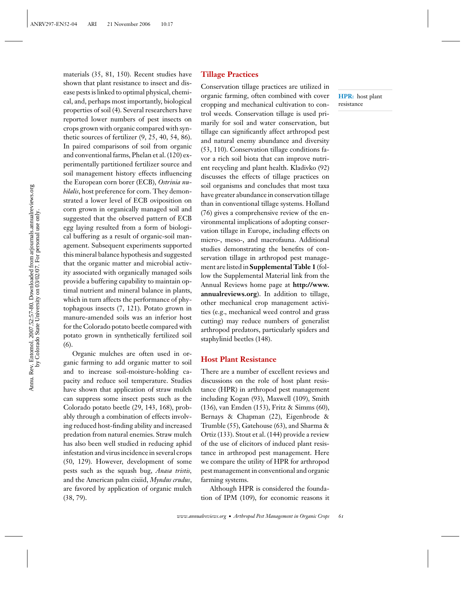materials (35, 81, 150). Recent studies have shown that plant resistance to insect and disease pests is linked to optimal physical, chemical, and, perhaps most importantly, biological properties of soil (4). Several researchers have reported lower numbers of pest insects on crops grown with organic compared with synthetic sources of fertilizer (9, 25, 40, 54, 86). In paired comparisons of soil from organic and conventional farms, Phelan et al. (120) experimentally partitioned fertilizer source and soil management history effects influencing the European corn borer (ECB), *Ostrinia nubilalis*, host preference for corn. They demonstrated a lower level of ECB oviposition on corn grown in organically managed soil and suggested that the observed pattern of ECB egg laying resulted from a form of biological buffering as a result of organic-soil management. Subsequent experiments supported this mineral balance hypothesis and suggested that the organic matter and microbial activity associated with organically managed soils provide a buffering capability to maintain optimal nutrient and mineral balance in plants, which in turn affects the performance of phytophagous insects (7, 121). Potato grown in manure-amended soils was an inferior host for the Colorado potato beetle compared with potato grown in synthetically fertilized soil (6).

Organic mulches are often used in organic farming to add organic matter to soil and to increase soil-moisture-holding capacity and reduce soil temperature. Studies have shown that application of straw mulch can suppress some insect pests such as the Colorado potato beetle (29, 143, 168), probably through a combination of effects involving reduced host-finding ability and increased predation from natural enemies. Straw mulch has also been well studied in reducing aphid infestation and virus incidence in several crops (50, 129). However, development of some pests such as the squash bug, *Anasa tristis,* and the American palm cixiid, *Myndus crudus*, are favored by application of organic mulch (38, 79).

#### **Tillage Practices**

Conservation tillage practices are utilized in organic farming, often combined with cover cropping and mechanical cultivation to control weeds. Conservation tillage is used primarily for soil and water conservation, but tillage can significantly affect arthropod pest and natural enemy abundance and diversity (53, 110). Conservation tillage conditions favor a rich soil biota that can improve nutrient recycling and plant health. Kladivko (92) discusses the effects of tillage practices on soil organisms and concludes that most taxa have greater abundance in conservation tillage than in conventional tillage systems. Holland (76) gives a comprehensive review of the environmental implications of adopting conservation tillage in Europe, including effects on micro-, meso-, and macrofauna. Additional studies demonstrating the benefits of conservation tillage in arthropod pest management are listed in **Supplemental Table 1** (follow the Supplemental Material link from the Annual Reviews home page at **http://www. annualreviews.org**). In addition to tillage, other mechanical crop management activities (e.g., mechanical weed control and grass cutting) may reduce numbers of generalist arthropod predators, particularly spiders and staphylinid beetles (148).

#### **Host Plant Resistance**

There are a number of excellent reviews and discussions on the role of host plant resistance (HPR) in arthropod pest management including Kogan (93), Maxwell (109), Smith (136), van Emden (153), Fritz & Simms (60), Bernays & Chapman (22), Eigenbrode & Trumble (55), Gatehouse (63), and Sharma & Ortiz (133). Stout et al. (144) provide a review of the use of elicitors of induced plant resistance in arthropod pest management. Here we compare the utility of HPR for arthropod pest management in conventional and organic farming systems.

Although HPR is considered the foundation of IPM (109), for economic reasons it **HPR:** host plant resistance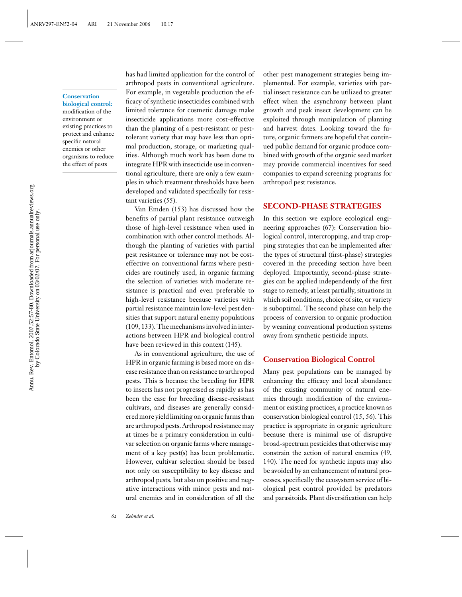#### **Conservation biological control:**

modification of the environment or existing practices to protect and enhance specific natural enemies or other organisms to reduce the effect of pests

has had limited application for the control of arthropod pests in conventional agriculture. For example, in vegetable production the efficacy of synthetic insecticides combined with limited tolerance for cosmetic damage make insecticide applications more cost-effective than the planting of a pest-resistant or pesttolerant variety that may have less than optimal production, storage, or marketing qualities. Although much work has been done to integrate HPR with insecticide use in conventional agriculture, there are only a few examples in which treatment thresholds have been developed and validated specifically for resistant varieties (55).

Van Emden (153) has discussed how the benefits of partial plant resistance outweigh those of high-level resistance when used in combination with other control methods. Although the planting of varieties with partial pest resistance or tolerance may not be costeffective on conventional farms where pesticides are routinely used, in organic farming the selection of varieties with moderate resistance is practical and even preferable to high-level resistance because varieties with partial resistance maintain low-level pest densities that support natural enemy populations (109, 133). The mechanisms involved in interactions between HPR and biological control have been reviewed in this context (145).

As in conventional agriculture, the use of HPR in organic farming is based more on disease resistance than on resistance to arthropod pests. This is because the breeding for HPR to insects has not progressed as rapidly as has been the case for breeding disease-resistant cultivars, and diseases are generally considered more yield limiting on organic farms than are arthropod pests. Arthropod resistance may at times be a primary consideration in cultivar selection on organic farms where management of a key pest(s) has been problematic. However, cultivar selection should be based not only on susceptibility to key disease and arthropod pests, but also on positive and negative interactions with minor pests and natural enemies and in consideration of all the

other pest management strategies being implemented. For example, varieties with partial insect resistance can be utilized to greater effect when the asynchrony between plant growth and peak insect development can be exploited through manipulation of planting and harvest dates. Looking toward the future, organic farmers are hopeful that continued public demand for organic produce combined with growth of the organic seed market may provide commercial incentives for seed companies to expand screening programs for arthropod pest resistance.

#### **SECOND-PHASE STRATEGIES**

In this section we explore ecological engineering approaches (67): Conservation biological control, intercropping, and trap cropping strategies that can be implemented after the types of structural (first-phase) strategies covered in the preceding section have been deployed. Importantly, second-phase strategies can be applied independently of the first stage to remedy, at least partially, situations in which soil conditions, choice of site, or variety is suboptimal. The second phase can help the process of conversion to organic production by weaning conventional production systems away from synthetic pesticide inputs.

#### **Conservation Biological Control**

Many pest populations can be managed by enhancing the efficacy and local abundance of the existing community of natural enemies through modification of the environment or existing practices, a practice known as conservation biological control (15, 56). This practice is appropriate in organic agriculture because there is minimal use of disruptive broad-spectrum pesticides that otherwise may constrain the action of natural enemies (49, 140). The need for synthetic inputs may also be avoided by an enhancement of natural processes, specifically the ecosystem service of biological pest control provided by predators and parasitoids. Plant diversification can help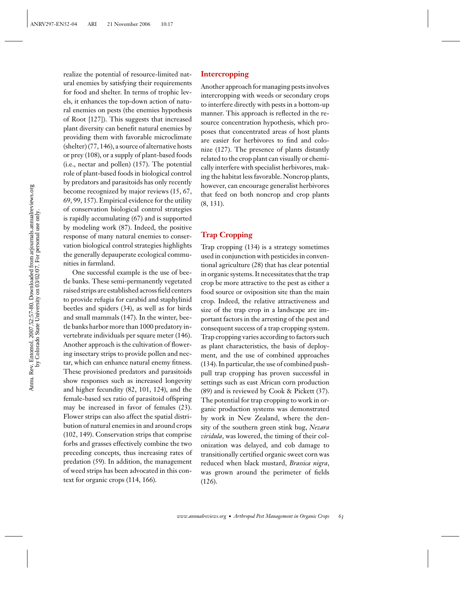realize the potential of resource-limited natural enemies by satisfying their requirements for food and shelter. In terms of trophic levels, it enhances the top-down action of natural enemies on pests (the enemies hypothesis of Root [127]). This suggests that increased plant diversity can benefit natural enemies by providing them with favorable microclimate (shelter) (77, 146), a source of alternative hosts or prey (108), or a supply of plant-based foods (i.e., nectar and pollen) (157). The potential role of plant-based foods in biological control by predators and parasitoids has only recently become recognized by major reviews (15, 67, 69, 99, 157). Empirical evidence for the utility of conservation biological control strategies is rapidly accumulating (67) and is supported by modeling work (87). Indeed, the positive response of many natural enemies to conservation biological control strategies highlights the generally depauperate ecological communities in farmland.

One successful example is the use of beetle banks. These semi-permanently vegetated raised strips are established across field centers to provide refugia for carabid and staphylinid beetles and spiders (34), as well as for birds and small mammals (147). In the winter, beetle banks harbor more than 1000 predatory invertebrate individuals per square meter (146). Another approach is the cultivation of flowering insectary strips to provide pollen and nectar, which can enhance natural enemy fitness. These provisioned predators and parasitoids show responses such as increased longevity and higher fecundity (82, 101, 124), and the female-based sex ratio of parasitoid offspring may be increased in favor of females (23). Flower strips can also affect the spatial distribution of natural enemies in and around crops (102, 149). Conservation strips that comprise forbs and grasses effectively combine the two preceding concepts, thus increasing rates of predation (59). In addition, the management of weed strips has been advocated in this context for organic crops (114, 166).

#### **Intercropping**

Another approach for managing pests involves intercropping with weeds or secondary crops to interfere directly with pests in a bottom-up manner. This approach is reflected in the resource concentration hypothesis, which proposes that concentrated areas of host plants are easier for herbivores to find and colonize (127). The presence of plants distantly related to the crop plant can visually or chemically interfere with specialist herbivores, making the habitat less favorable. Noncrop plants, however, can encourage generalist herbivores that feed on both noncrop and crop plants (8, 131).

#### **Trap Cropping**

Trap cropping (134) is a strategy sometimes used in conjunction with pesticides in conventional agriculture (28) that has clear potential in organic systems. It necessitates that the trap crop be more attractive to the pest as either a food source or oviposition site than the main crop. Indeed, the relative attractiveness and size of the trap crop in a landscape are important factors in the arresting of the pest and consequent success of a trap cropping system. Trap cropping varies according to factors such as plant characteristics, the basis of deployment, and the use of combined approaches (134). In particular, the use of combined pushpull trap cropping has proven successful in settings such as east African corn production (89) and is reviewed by Cook & Pickett (37). The potential for trap cropping to work in organic production systems was demonstrated by work in New Zealand, where the density of the southern green stink bug, *Nezara viridula*, was lowered, the timing of their colonization was delayed, and cob damage to transitionally certified organic sweet corn was reduced when black mustard, *Brassica nigra*, was grown around the perimeter of fields (126).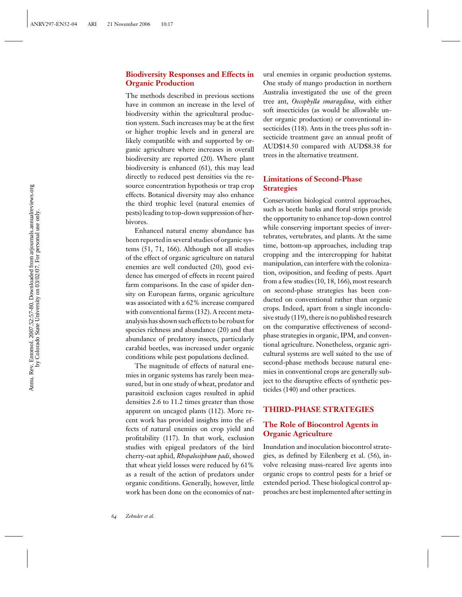## **Biodiversity Responses and Effects in Organic Production**

The methods described in previous sections have in common an increase in the level of biodiversity within the agricultural production system. Such increases may be at the first or higher trophic levels and in general are likely compatible with and supported by organic agriculture where increases in overall biodiversity are reported (20). Where plant biodiversity is enhanced (61), this may lead directly to reduced pest densities via the resource concentration hypothesis or trap crop effects. Botanical diversity may also enhance the third trophic level (natural enemies of pests) leading to top-down suppression of herbivores.

Enhanced natural enemy abundance has been reported in several studies of organic systems (51, 71, 166). Although not all studies of the effect of organic agriculture on natural enemies are well conducted (20), good evidence has emerged of effects in recent paired farm comparisons. In the case of spider density on European farms, organic agriculture was associated with a 62% increase compared with conventional farms (132). A recent metaanalysis has shown such effects to be robust for species richness and abundance (20) and that abundance of predatory insects, particularly carabid beetles, was increased under organic conditions while pest populations declined.

The magnitude of effects of natural enemies in organic systems has rarely been measured, but in one study of wheat, predator and parasitoid exclusion cages resulted in aphid densities 2.6 to 11.2 times greater than those apparent on uncaged plants (112). More recent work has provided insights into the effects of natural enemies on crop yield and profitability (117). In that work, exclusion studies with epigeal predators of the bird cherry-oat aphid, *Rhopalosiphum padi*, showed that wheat yield losses were reduced by 61% as a result of the action of predators under organic conditions. Generally, however, little work has been done on the economics of nat-

ural enemies in organic production systems. One study of mango production in northern Australia investigated the use of the green tree ant, *Oecophylla smaragdina*, with either soft insecticides (as would be allowable under organic production) or conventional insecticides (118). Ants in the trees plus soft insecticide treatment gave an annual profit of AUD\$14.50 compared with AUD\$8.38 for trees in the alternative treatment.

## **Limitations of Second-Phase Strategies**

Conservation biological control approaches, such as beetle banks and floral strips provide the opportunity to enhance top-down control while conserving important species of invertebrates, vertebrates, and plants. At the same time, bottom-up approaches, including trap cropping and the intercropping for habitat manipulation, can interfere with the colonization, oviposition, and feeding of pests. Apart from a few studies (10, 18, 166), most research on second-phase strategies has been conducted on conventional rather than organic crops. Indeed, apart from a single inconclusive study (119), there is no published research on the comparative effectiveness of secondphase strategies in organic, IPM, and conventional agriculture. Nonetheless, organic agricultural systems are well suited to the use of second-phase methods because natural enemies in conventional crops are generally subject to the disruptive effects of synthetic pesticides (140) and other practices.

#### **THIRD-PHASE STRATEGIES**

## **The Role of Biocontrol Agents in Organic Agriculture**

Inundation and inoculation biocontrol strategies, as defined by Eilenberg et al. (56), involve releasing mass-reared live agents into organic crops to control pests for a brief or extended period. These biological control approaches are best implemented after setting in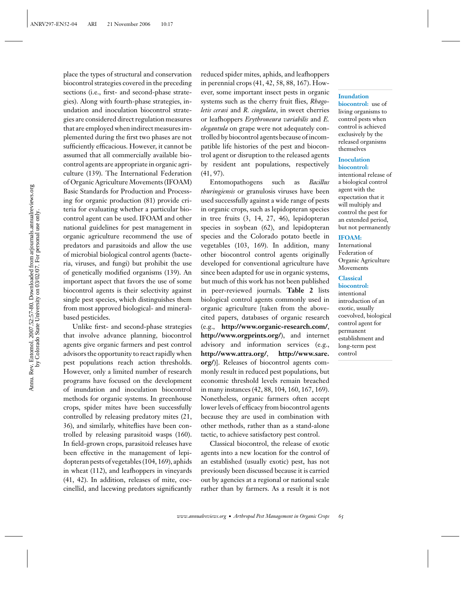place the types of structural and conservation biocontrol strategies covered in the preceding sections (i.e., first- and second-phase strategies). Along with fourth-phase strategies, inundation and inoculation biocontrol strategies are considered direct regulation measures that are employed when indirect measures implemented during the first two phases are not sufficiently efficacious. However, it cannot be assumed that all commercially available biocontrol agents are appropriate in organic agriculture (139). The International Federation of Organic Agriculture Movements (IFOAM) Basic Standards for Production and Processing for organic production (81) provide criteria for evaluating whether a particular biocontrol agent can be used. IFOAM and other national guidelines for pest management in organic agriculture recommend the use of predators and parasitoids and allow the use of microbial biological control agents (bacteria, viruses, and fungi) but prohibit the use of genetically modified organisms (139). An important aspect that favors the use of some biocontrol agents is their selectivity against single pest species, which distinguishes them from most approved biological- and mineralbased pesticides.

Unlike first- and second-phase strategies that involve advance planning, biocontrol agents give organic farmers and pest control advisors the opportunity to react rapidly when pest populations reach action thresholds. However, only a limited number of research programs have focused on the development of inundation and inoculation biocontrol methods for organic systems. In greenhouse crops, spider mites have been successfully controlled by releasing predatory mites (21, 36), and similarly, whiteflies have been controlled by releasing parasitoid wasps (160). In field-grown crops, parasitoid releases have been effective in the management of lepidopteran pests of vegetables (104, 169), aphids in wheat (112), and leafhoppers in vineyards (41, 42). In addition, releases of mite, coccinellid, and lacewing predators significantly

reduced spider mites, aphids, and leafhoppers in perennial crops (41, 42, 58, 88, 167). However, some important insect pests in organic systems such as the cherry fruit flies, *Rhagoletis cerasi* and *R. cingulata*, in sweet cherries or leafhoppers *Erythroneura variabilis* and *E. elegantula* on grape were not adequately controlled by biocontrol agents because of incompatible life histories of the pest and biocontrol agent or disruption to the released agents by resident ant populations, respectively (41, 97).

Entomopathogens such as *Bacillus thuringiensis* or granulosis viruses have been used successfully against a wide range of pests in organic crops, such as lepidopteran species in tree fruits (3, 14, 27, 46), lepidopteran species in soybean (62), and lepidopteran species and the Colorado potato beetle in vegetables (103, 169). In addition, many other biocontrol control agents originally developed for conventional agriculture have since been adapted for use in organic systems, but much of this work has not been published in peer-reviewed journals. **Table 2** lists biological control agents commonly used in organic agriculture [taken from the abovecited papers, databases of organic research (e.g., **http://www.organic-research.com/**, **http://www.orgprints.org/**), and internet advisory and information services (e.g., **http://www.attra.org/**, **http://www.sare. org/**)]. Releases of biocontrol agents commonly result in reduced pest populations, but economic threshold levels remain breached in many instances (42, 88, 104, 160, 167, 169). Nonetheless, organic farmers often accept lower levels of efficacy from biocontrol agents because they are used in combination with other methods, rather than as a stand-alone tactic, to achieve satisfactory pest control.

Classical biocontrol, the release of exotic agents into a new location for the control of an established (usually exotic) pest, has not previously been discussed because it is carried out by agencies at a regional or national scale rather than by farmers. As a result it is not

#### **Inundation**

**biocontrol:** use of living organisms to control pests when control is achieved exclusively by the released organisms themselves

#### **Inoculation biocontrol:**

intentional release of a biological control agent with the expectation that it will multiply and control the pest for an extended period, but not permanently

#### **IFOAM:**

International Federation of Organic Agriculture Movements

#### **Classical biocontrol:**

intentional introduction of an exotic, usually coevolved, biological control agent for permanent establishment and long-term pest control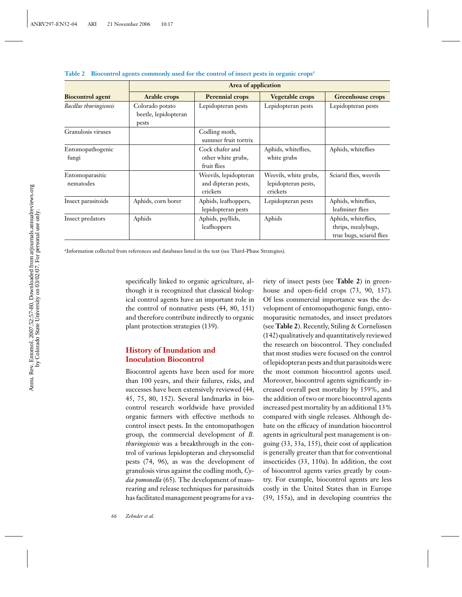|                               | Area of application                              |                                                          |                                                          |                                           |  |
|-------------------------------|--------------------------------------------------|----------------------------------------------------------|----------------------------------------------------------|-------------------------------------------|--|
| <b>Biocontrol</b> agent       | Arable crops                                     | <b>Perennial crops</b>                                   | <b>Vegetable crops</b>                                   | <b>Greenhouse crops</b>                   |  |
| <b>Bacillus</b> thuringiensis | Colorado potato<br>beetle, lepidopteran<br>pests | Lepidopteran pests                                       | Lepidopteran pests                                       | Lepidopteran pests                        |  |
| Granulosis viruses            |                                                  | Codling moth,<br>summer fruit tortrix                    |                                                          |                                           |  |
| Entomopathogenic<br>fungi     |                                                  | Cock chafer and<br>other white grubs,<br>fruit flies     | Aphids, whiteflies,<br>white grubs                       | Aphids, whiteflies                        |  |
| Entomoparasitic<br>nematodes  |                                                  | Weevils, lepidopteran<br>and dipteran pests,<br>crickets | Weevils, white grubs,<br>lepidopteran pests,<br>crickets | Sciarid flies, weevils                    |  |
| Insect parasitoids            | Aphids, corn borer                               | Aphids, leafhoppers,<br>lepidopteran pests               | Lepidopteran pests                                       | Aphids, whiteflies,<br>leafminer flies    |  |
| Insect predators              | Aphids                                           | Aphids, psyllids,<br>leafhoppers                         | Aphids                                                   | Aphids, whiteflies,<br>thrips, mealybugs, |  |

#### **Table 2 Biocontrol agents commonly used for the control of insect pests in organic crops**<sup>a</sup>

<sup>a</sup>Information collected from references and databases listed in the text (see Third-Phase Strategies).

specifically linked to organic agriculture, although it is recognized that classical biological control agents have an important role in the control of nonnative pests (44, 80, 151) and therefore contribute indirectly to organic plant protection strategies (139).

#### **History of Inundation and Inoculation Biocontrol**

Biocontrol agents have been used for more than 100 years, and their failures, risks, and successes have been extensively reviewed (44, 45, 75, 80, 152). Several landmarks in biocontrol research worldwide have provided organic farmers with effective methods to control insect pests. In the entomopathogen group, the commercial development of *B. thuringiensis* was a breakthrough in the control of various lepidopteran and chrysomelid pests (74, 96), as was the development of granulosis virus against the codling moth, *Cydia pomonella* (65). The development of massrearing and release techniques for parasitoids has facilitated management programs for a va-

riety of insect pests (see **Table 2**) in greenhouse and open-field crops (73, 90, 137). Of less commercial importance was the development of entomopathogenic fungi, entomoparasitic nematodes, and insect predators (see **Table 2**). Recently, Stiling & Cornelissen (142) qualitatively and quantitatively reviewed the research on biocontrol. They concluded that most studies were focused on the control of lepidopteran pests and that parasitoids were the most common biocontrol agents used. Moreover, biocontrol agents significantly increased overall pest mortality by 159%, and the addition of two or more biocontrol agents increased pest mortality by an additional 13% compared with single releases. Although debate on the efficacy of inundation biocontrol agents in agricultural pest management is ongoing (33, 33a, 155), their cost of application is generally greater than that for conventional insecticides (33, 110a). In addition, the cost of biocontrol agents varies greatly by country. For example, biocontrol agents are less costly in the United States than in Europe (39, 155a), and in developing countries the

true bugs, sciarid flies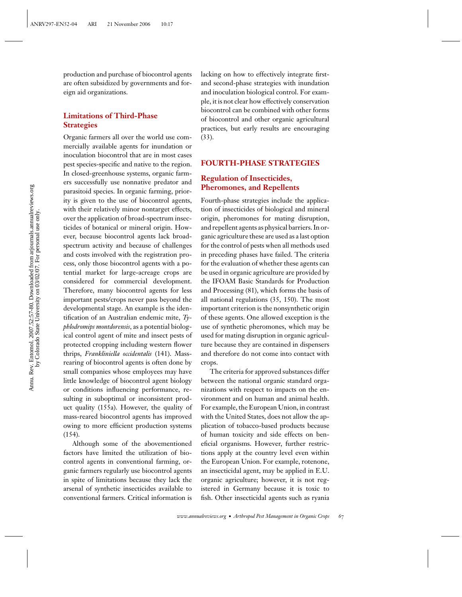## **Limitations of Third-Phase Strategies**

Organic farmers all over the world use commercially available agents for inundation or inoculation biocontrol that are in most cases pest species-specific and native to the region. In closed-greenhouse systems, organic farmers successfully use nonnative predator and parasitoid species. In organic farming, priority is given to the use of biocontrol agents, with their relatively minor nontarget effects, over the application of broad-spectrum insecticides of botanical or mineral origin. However, because biocontrol agents lack broadspectrum activity and because of challenges and costs involved with the registration process, only those biocontrol agents with a potential market for large-acreage crops are considered for commercial development. Therefore, many biocontrol agents for less important pests/crops never pass beyond the developmental stage. An example is the identification of an Australian endemic mite, *Typhlodromips montdorensis*, as a potential biological control agent of mite and insect pests of protected cropping including western flower thrips, *Frankliniella occidentalis* (141). Massrearing of biocontrol agents is often done by small companies whose employees may have little knowledge of biocontrol agent biology or conditions influencing performance, resulting in suboptimal or inconsistent product quality (155a). However, the quality of mass-reared biocontrol agents has improved owing to more efficient production systems (154).

Although some of the abovementioned factors have limited the utilization of biocontrol agents in conventional farming, organic farmers regularly use biocontrol agents in spite of limitations because they lack the arsenal of synthetic insecticides available to conventional farmers. Critical information is

lacking on how to effectively integrate firstand second-phase strategies with inundation and inoculation biological control. For example, it is not clear how effectively conservation biocontrol can be combined with other forms of biocontrol and other organic agricultural practices, but early results are encouraging (33).

## **FOURTH-PHASE STRATEGIES**

#### **Regulation of Insecticides, Pheromones, and Repellents**

Fourth-phase strategies include the application of insecticides of biological and mineral origin, pheromones for mating disruption, and repellent agents as physical barriers. In organic agriculture these are used as a last option for the control of pests when all methods used in preceding phases have failed. The criteria for the evaluation of whether these agents can be used in organic agriculture are provided by the IFOAM Basic Standards for Production and Processing (81), which forms the basis of all national regulations (35, 150). The most important criterion is the nonsynthetic origin of these agents. One allowed exception is the use of synthetic pheromones, which may be used for mating disruption in organic agriculture because they are contained in dispensers and therefore do not come into contact with crops.

The criteria for approved substances differ between the national organic standard organizations with respect to impacts on the environment and on human and animal health. For example, the European Union, in contrast with the United States, does not allow the application of tobacco-based products because of human toxicity and side effects on beneficial organisms. However, further restrictions apply at the country level even within the European Union. For example, rotenone, an insecticidal agent, may be applied in E.U. organic agriculture; however, it is not registered in Germany because it is toxic to fish. Other insecticidal agents such as ryania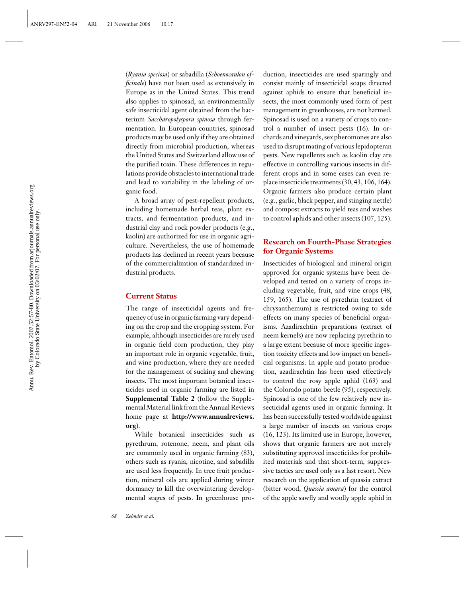(*Ryania speciosa*) or sabadilla (*Schoenocaulon officinale*) have not been used as extensively in Europe as in the United States. This trend also applies to spinosad, an environmentally safe insecticidal agent obtained from the bacterium *Saccharopolyspora spinosa* through fermentation. In European countries, spinosad products may be used only if they are obtained directly from microbial production, whereas the United States and Switzerland allow use of the purified toxin. These differences in regulations provide obstacles to international trade and lead to variability in the labeling of organic food.

A broad array of pest-repellent products, including homemade herbal teas, plant extracts, and fermentation products, and industrial clay and rock powder products (e.g., kaolin) are authorized for use in organic agriculture. Nevertheless, the use of homemade products has declined in recent years because of the commercialization of standardized industrial products.

#### **Current Status**

The range of insecticidal agents and frequency of use in organic farming vary depending on the crop and the cropping system. For example, although insecticides are rarely used in organic field corn production, they play an important role in organic vegetable, fruit, and wine production, where they are needed for the management of sucking and chewing insects. The most important botanical insecticides used in organic farming are listed in **Supplemental Table 2** (follow the Supplemental Material link from the Annual Reviews home page at **http://www.annualreviews. org**).

While botanical insecticides such as pyrethrum, rotenone, neem, and plant oils are commonly used in organic farming (83), others such as ryania, nicotine, and sabadilla are used less frequently. In tree fruit production, mineral oils are applied during winter dormancy to kill the overwintering developmental stages of pests. In greenhouse production, insecticides are used sparingly and consist mainly of insecticidal soaps directed against aphids to ensure that beneficial insects, the most commonly used form of pest management in greenhouses, are not harmed. Spinosad is used on a variety of crops to control a number of insect pests (16). In orchards and vineyards, sex pheromones are also used to disrupt mating of various lepidopteran pests. New repellents such as kaolin clay are effective in controlling various insects in different crops and in some cases can even replace insecticide treatments (30, 43, 106, 164). Organic farmers also produce certain plant (e.g., garlic, black pepper, and stinging nettle) and compost extracts to yield teas and washes to control aphids and other insects (107, 125).

## **Research on Fourth-Phase Strategies for Organic Systems**

Insecticides of biological and mineral origin approved for organic systems have been developed and tested on a variety of crops including vegetable, fruit, and vine crops (48, 159, 165). The use of pyrethrin (extract of chrysanthemum) is restricted owing to side effects on many species of beneficial organisms. Azadirachtin preparations (extract of neem kernels) are now replacing pyrethrin to a large extent because of more specific ingestion toxicity effects and low impact on beneficial organisms. In apple and potato production, azadirachtin has been used effectively to control the rosy apple aphid (163) and the Colorado potato beetle (95), respectively. Spinosad is one of the few relatively new insecticidal agents used in organic farming. It has been successfully tested worldwide against a large number of insects on various crops (16, 123). Its limited use in Europe, however, shows that organic farmers are not merely substituting approved insecticides for prohibited materials and that short-term, suppressive tactics are used only as a last resort. New research on the application of quassia extract (bitter wood, *Quassia amara*) for the control of the apple sawfly and woolly apple aphid in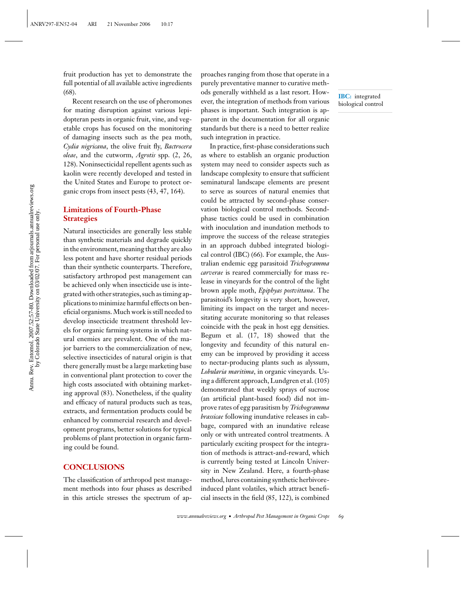fruit production has yet to demonstrate the full potential of all available active ingredients (68).

Recent research on the use of pheromones for mating disruption against various lepidopteran pests in organic fruit, vine, and vegetable crops has focused on the monitoring of damaging insects such as the pea moth, *Cydia nigricana*, the olive fruit fly, *Bactrocera oleae*, and the cutworm, *Agrotis* spp. (2, 26, 128). Noninsecticidal repellent agents such as kaolin were recently developed and tested in the United States and Europe to protect organic crops from insect pests (43, 47, 164).

## **Limitations of Fourth-Phase Strategies**

Natural insecticides are generally less stable than synthetic materials and degrade quickly in the environment, meaning that they are also less potent and have shorter residual periods than their synthetic counterparts. Therefore, satisfactory arthropod pest management can be achieved only when insecticide use is integrated with other strategies, such as timing applications to minimize harmful effects on beneficial organisms. Much work is still needed to develop insecticide treatment threshold levels for organic farming systems in which natural enemies are prevalent. One of the major barriers to the commercialization of new, selective insecticides of natural origin is that there generally must be a large marketing base in conventional plant protection to cover the high costs associated with obtaining marketing approval (83). Nonetheless, if the quality and efficacy of natural products such as teas, extracts, and fermentation products could be enhanced by commercial research and development programs, better solutions for typical problems of plant protection in organic farming could be found.

## **CONCLUSIONS**

The classification of arthropod pest management methods into four phases as described in this article stresses the spectrum of approaches ranging from those that operate in a purely preventative manner to curative methods generally withheld as a last resort. However, the integration of methods from various phases is important. Such integration is apparent in the documentation for all organic standards but there is a need to better realize such integration in practice.

In practice, first-phase considerations such as where to establish an organic production system may need to consider aspects such as landscape complexity to ensure that sufficient seminatural landscape elements are present to serve as sources of natural enemies that could be attracted by second-phase conservation biological control methods. Secondphase tactics could be used in combination with inoculation and inundation methods to improve the success of the release strategies in an approach dubbed integrated biological control (IBC) (66). For example, the Australian endemic egg parasitoid *Trichogramma carverae* is reared commercially for mass release in vineyards for the control of the light brown apple moth, *Epiphyas postvittana*. The parasitoid's longevity is very short, however, limiting its impact on the target and necessitating accurate monitoring so that releases coincide with the peak in host egg densities. Begum et al. (17, 18) showed that the longevity and fecundity of this natural enemy can be improved by providing it access to nectar-producing plants such as alyssum, *Lobularia maritima*, in organic vineyards. Using a different approach, Lundgren et al. (105) demonstrated that weekly sprays of sucrose (an artificial plant-based food) did not improve rates of egg parasitism by *Trichogramma brassicae* following inundative releases in cabbage, compared with an inundative release only or with untreated control treatments. A particularly exciting prospect for the integration of methods is attract-and-reward, which is currently being tested at Lincoln University in New Zealand. Here, a fourth-phase method, lures containing synthetic herbivoreinduced plant volatiles, which attract beneficial insects in the field (85, 122), is combined **IBC:** integrated biological control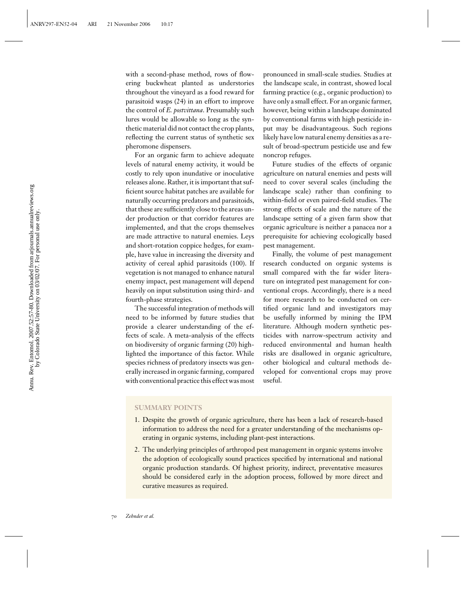with a second-phase method, rows of flowering buckwheat planted as understories throughout the vineyard as a food reward for parasitoid wasps (24) in an effort to improve the control of *E. postvittana*. Presumably such lures would be allowable so long as the synthetic material did not contact the crop plants, reflecting the current status of synthetic sex pheromone dispensers.

For an organic farm to achieve adequate levels of natural enemy activity, it would be costly to rely upon inundative or inoculative releases alone. Rather, it is important that sufficient source habitat patches are available for naturally occurring predators and parasitoids, that these are sufficiently close to the areas under production or that corridor features are implemented, and that the crops themselves are made attractive to natural enemies. Leys and short-rotation coppice hedges, for example, have value in increasing the diversity and activity of cereal aphid parasitoids (100). If vegetation is not managed to enhance natural enemy impact, pest management will depend heavily on input substitution using third- and fourth-phase strategies.

The successful integration of methods will need to be informed by future studies that provide a clearer understanding of the effects of scale. A meta-analysis of the effects on biodiversity of organic farming (20) highlighted the importance of this factor. While species richness of predatory insects was generally increased in organic farming, compared with conventional practice this effect was most

pronounced in small-scale studies. Studies at the landscape scale, in contrast, showed local farming practice (e.g., organic production) to have only a small effect. For an organic farmer, however, being within a landscape dominated by conventional farms with high pesticide input may be disadvantageous. Such regions likely have low natural enemy densities as a result of broad-spectrum pesticide use and few noncrop refuges.

Future studies of the effects of organic agriculture on natural enemies and pests will need to cover several scales (including the landscape scale) rather than confining to within-field or even paired-field studies. The strong effects of scale and the nature of the landscape setting of a given farm show that organic agriculture is neither a panacea nor a prerequisite for achieving ecologically based pest management.

Finally, the volume of pest management research conducted on organic systems is small compared with the far wider literature on integrated pest management for conventional crops. Accordingly, there is a need for more research to be conducted on certified organic land and investigators may be usefully informed by mining the IPM literature. Although modern synthetic pesticides with narrow-spectrum activity and reduced environmental and human health risks are disallowed in organic agriculture, other biological and cultural methods developed for conventional crops may prove useful.

#### **SUMMARY POINTS**

- 1. Despite the growth of organic agriculture, there has been a lack of research-based information to address the need for a greater understanding of the mechanisms operating in organic systems, including plant-pest interactions.
- 2. The underlying principles of arthropod pest management in organic systems involve the adoption of ecologically sound practices specified by international and national organic production standards. Of highest priority, indirect, preventative measures should be considered early in the adoption process, followed by more direct and curative measures as required.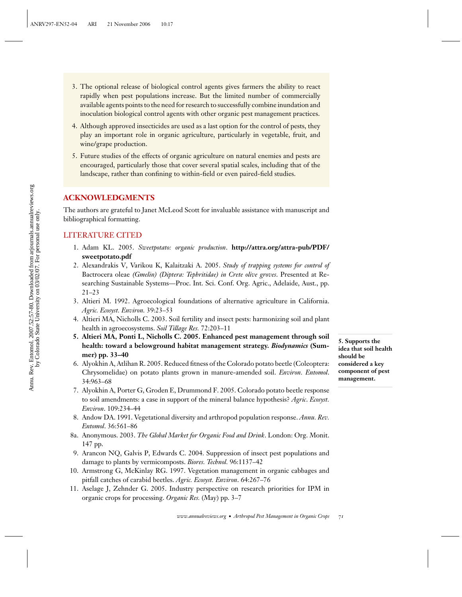- 3. The optional release of biological control agents gives farmers the ability to react rapidly when pest populations increase. But the limited number of commercially available agents points to the need for research to successfully combine inundation and inoculation biological control agents with other organic pest management practices.
- 4. Although approved insecticides are used as a last option for the control of pests, they play an important role in organic agriculture, particularly in vegetable, fruit, and wine/grape production.
- 5. Future studies of the effects of organic agriculture on natural enemies and pests are encouraged, particularly those that cover several spatial scales, including that of the landscape, rather than confining to within-field or even paired-field studies.

## **ACKNOWLEDGMENTS**

The authors are grateful to Janet McLeod Scott for invaluable assistance with manuscript and bibliographical formatting.

## LITERATURE CITED

- 1. Adam KL. 2005. *Sweetpotato: organic production*. **http://attra.org/attra-pub/PDF/ sweetpotato.pdf**
- 2. Alexandrakis V, Varikou K, Kalaitzaki A. 2005. *Study of trapping systems for control of* Bactrocera oleae *(Gmelin) (Diptera: Tephritidae) in Crete olive groves*. Presented at Researching Sustainable Systems—Proc. Int. Sci. Conf. Org. Agric., Adelaide, Aust., pp. 21–23
- 3. Altieri M. 1992. Agroecological foundations of alternative agriculture in California. *Agric. Ecosyst. Environ.* 39:23–53
- 4. Altieri MA, Nicholls C. 2003. Soil fertility and insect pests: harmonizing soil and plant health in agroecosystems. *Soil Tillage Res.* 72:203–11
- **5. Altieri MA, Ponti L, Nicholls C. 2005. Enhanced pest management through soil health: toward a belowground habitat management strategy.** *Biodynamics* **(Summer) pp. 33–40**
- 6. Alyokhin A, Atlihan R. 2005. Reduced fitness of the Colorado potato beetle (Coleoptera: Chrysomelidae) on potato plants grown in manure-amended soil. *Environ. Entomol*. 34:963–68
- 7. Alyokhin A, Porter G, Groden E, Drummond F. 2005. Colorado potato beetle response to soil amendments: a case in support of the mineral balance hypothesis? *Agric*. *Ecosyst. Environ*. 109:234–44
- 8. Andow DA. 1991. Vegetational diversity and arthropod population response. *Annu. Rev. Entomol*. 36:561–86
- 8a. Anonymous. 2003. *The Global Market for Organic Food and Drink*. London: Org. Monit. 147 pp.
- 9. Arancon NQ, Galvis P, Edwards C. 2004. Suppression of insect pest populations and damage to plants by vermicomposts. *Biores. Technol.* 96:1137–42
- 10. Armstrong G, McKinlay RG. 1997. Vegetation management in organic cabbages and pitfall catches of carabid beetles. *Agric. Ecosyst. Environ*. 64:267–76
- 11. Aselage J, Zehnder G. 2005. Industry perspective on research priorities for IPM in organic crops for processing. *Organic Res.* (May) pp. 3–7

**5. Supports the idea that soil health should be considered a key component of pest management.**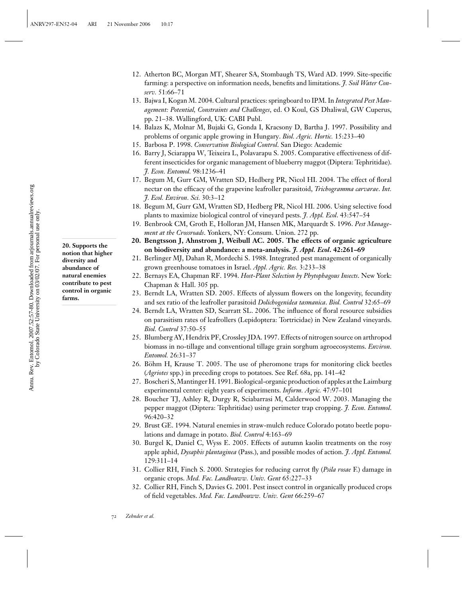**20. Supports the notion that higher diversity and abundance of natural enemies contribute to pest control in organic farms.**

- 12. Atherton BC, Morgan MT, Shearer SA, Stombaugh TS, Ward AD. 1999. Site-specific farming: a perspective on information needs, benefits and limitations. *J. Soil Water Conserv.* 51:66–71
- 13. Bajwa I, Kogan M. 2004. Cultural practices: springboard to IPM. In *Integrated Pest Management: Potential, Constraints and Challenges*, ed. O Koul, GS Dhaliwal, GW Cuperus, pp. 21–38. Wallingford, UK: CABI Publ.
- 14. Balazs K, Molnar M, Bujaki G, Gonda I, Kracsony D, Bartha J. 1997. Possibility and problems of organic apple growing in Hungary. *Biol. Agric. Hortic.* 15:233–40
- 15. Barbosa P. 1998. *Conservation Biological Control*. San Diego: Academic
- 16. Barry J, Sciarappa W, Teixeira L, Polavarapu S. 2005. Comparative effectiveness of different insecticides for organic management of blueberry maggot (Diptera: Tephritidae). *J. Econ. Entomol.* 98:1236–41
- 17. Begum M, Gurr GM, Wratten SD, Hedberg PR, Nicol HI. 2004. The effect of floral nectar on the efficacy of the grapevine leafroller parasitoid, *Trichogramma carvarae*. *Int. J. Ecol. Environ. Sci.* 30:3–12
- 18. Begum M, Gurr GM, Wratten SD, Hedberg PR, Nicol HI. 2006. Using selective food plants to maximize biological control of vineyard pests. *J. Appl. Ecol*. 43:547–54
- 19. Benbrook CM, Groth E, Holloran JM, Hansen MK, Marquardt S. 1996. *Pest Management at the Crossroads*. Yonkers, NY: Consum. Union. 272 pp.
- **20. Bengtsson J, Ahnstrom J, Weibull AC. 2005. The effects of organic agriculture on biodiversity and abundance: a meta-analysis.** *J. Appl. Ecol***. 42:261–69**
- 21. Berlinger MJ, Dahan R, Mordechi S. 1988. Integrated pest management of organically grown greenhouse tomatoes in Israel. *Appl. Agric. Res.* 3:233–38
- 22. Bernays EA, Chapman RF. 1994. *Host-Plant Selection by Phytophagous Insects*. New York: Chapman & Hall. 305 pp.
- 23. Berndt LA, Wratten SD. 2005. Effects of alyssum flowers on the longevity, fecundity and sex ratio of the leafroller parasitoid *Dolichogenidea tasmanica*. *Biol. Control* 32:65–69
- 24. Berndt LA, Wratten SD, Scarratt SL. 2006. The influence of floral resource subsidies on parasitism rates of leafrollers (Lepidoptera: Tortricidae) in New Zealand vineyards. *Biol. Control* 37:50–55
- 25. Blumberg AY, Hendrix PF, Crossley JDA. 1997. Effects of nitrogen source on arthropod biomass in no-tillage and conventional tillage grain sorghum agroecosystems. *Environ. Entomol.* 26:31–37
- 26. Böhm H, Krause T. 2005. The use of pheromone traps for monitoring click beetles (*Agriotes* spp.) in preceding crops to potatoes. See Ref. 68a, pp. 141–42
- 27. Boscheri S, Mantinger H. 1991. Biological-organic production of apples at the Laimburg experimental center: eight years of experiments. *Inform. Agric.* 47:97–101
- 28. Boucher TJ, Ashley R, Durgy R, Sciabarrasi M, Calderwood W. 2003. Managing the pepper maggot (Diptera: Tephritidae) using perimeter trap cropping. *J. Econ. Entomol*. 96:420–32
- 29. Brust GE. 1994. Natural enemies in straw-mulch reduce Colorado potato beetle populations and damage in potato. *Biol. Control* 4:163–69
- 30. Burgel K, Daniel C, Wyss E. 2005. Effects of autumn kaolin treatments on the rosy apple aphid, *Dysaphis plantaginea* (Pass.), and possible modes of action. *J. Appl. Entomol.* 129:311–14
- 31. Collier RH, Finch S. 2000. Strategies for reducing carrot fly (*Psila rosae* F.) damage in organic crops. *Med. Fac. Landbouww. Univ. Gent* 65:227–33
- 32. Collier RH, Finch S, Davies G. 2001. Pest insect control in organically produced crops of field vegetables. *Med. Fac. Landbouww. Univ. Gent* 66:259–67

*72 Zehnder et al.*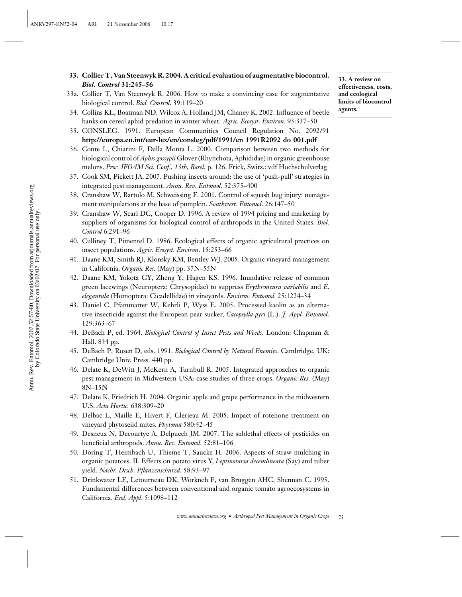- **33. Collier T, Van Steenwyk R. 2004. A critical evaluation of augmentative biocontrol.** *Biol. Control* **31:245–56**
- 33a. Collier T, Van Steenwyk R. 2006. How to make a convincing case for augmentative biological control. *Biol. Control*. 39:119–20
- 34. Collins KL, Boatman ND, Wilcox A, Holland JM, Chaney K. 2002. Influence of beetle banks on cereal aphid predation in winter wheat. *Agric. Ecosyst. Environ*. 93:337–50
- 35. CONSLEG. 1991. European Communities Council Regulation No. 2092/91 **http://europa.eu.int/eur-lex/en/consleg/pdf/1991/en 1991R2092 do 001.pdf**
- 36. Conte L, Chiarini F, Dalla Monta L. 2000. Comparison between two methods for biological control of *Aphis gossypii* Glover (Rhynchota, Aphididae) in organic greenhouse melons. *Proc. IFOAM Sci. Conf., 13th, Basel*, p. 126. Frick, Switz.: vdf Hochschulverlag
- 37. Cook SM, Pickett JA. 2007. Pushing insects around: the use of 'push-pull' strategies in integrated pest management. *Annu. Rev. Entomol*. 52:375–400
- 38. Cranshaw W, Bartolo M, Schweissing F. 2001. Control of squash bug injury: management manipulations at the base of pumpkin. *Southwest. Entomol*. 26:147–50
- 39. Cranshaw W, Scarl DC, Cooper D. 1996. A review of 1994 pricing and marketing by suppliers of organisms for biological control of arthropods in the United States. *Biol. Control* 6:291–96
- 40. Culliney T, Pimentel D. 1986. Ecological effects of organic agricultural practices on insect populations. *Agric. Ecosyst. Environ*. 15:253–66
- 41. Daane KM, Smith RJ, Klonsky KM, Bentley WJ. 2005. Organic vineyard management in California. *Organic Res.* (May) pp. 37N–55N
- 42. Daane KM, Yokota GY, Zheng Y, Hagen KS. 1996. Inundative release of common green lacewings (Neuroptera: Chrysopidae) to suppress *Erythroneura variabilis* and *E*. *elegantula* (Homoptera: Cicadellidae) in vineyards. *Environ. Entomol.* 25:1224–34
- 43. Daniel C, Pfammatter W, Kehrli P, Wyss E. 2005. Processed kaolin as an alternative insecticide against the European pear sucker, *Cacopsylla pyri* (L.). *J. Appl. Entomol.* 129:363–67
- 44. DeBach P, ed. 1964. *Biological Control of Insect Pests and Weeds*. London: Chapman & Hall. 844 pp.
- 45. DeBach P, Rosen D, eds. 1991. *Biological Control by Natural Enemies*. Cambridge, UK: Cambridge Univ. Press. 440 pp.
- 46. Delate K, DeWitt J, McKern A, Turnbull R. 2005. Integrated approaches to organic pest management in Midwestern USA: case studies of three crops. *Organic Res.* (May) 8N–15N
- 47. Delate K, Friedrich H. 2004. Organic apple and grape performance in the midwestern U.S. *Acta Hortic.* 638:309–20
- 48. Delbac L, Maille E, Hivert F, Clerjeau M. 2005. Impact of rotenone treatment on vineyard phytoseiid mites. *Phytoma* 580:42–45
- 49. Desneux N, Decourtye A, Delpuech JM. 2007. The sublethal effects of pesticides on beneficial arthropods. *Annu. Rev. Entomol*. 52:81–106
- 50. Döring T, Heimbach U, Thieme T, Saucke H. 2006. Aspects of straw mulching in organic potatoes. II. Effects on potato virus Y, *Leptinotarsa decemlineata* (Say) and tuber yield. *Nachr. Dtsch. Pflanzenschutzd.* 58:93–97
- 51. Drinkwater LE, Letourneau DK, Workneh F, van Bruggen AHC, Shennan C. 1995. Fundamental differences between conventional and organic tomato agroecosystems in California. *Ecol. Appl*. 5:1098–112

**33. A review on effectiveness, costs, and ecological limits of biocontrol agents.**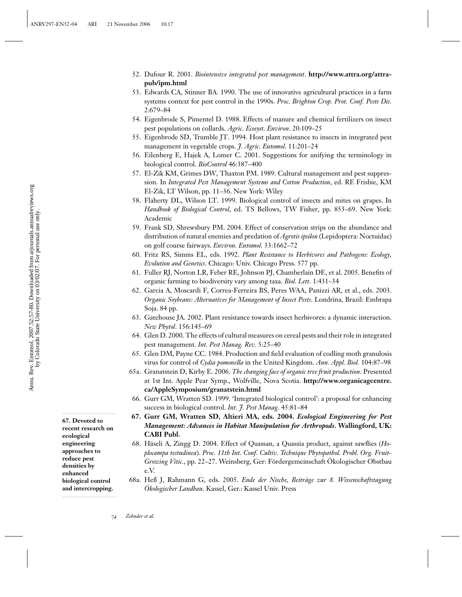- 52. Dufour R. 2001. *Biointensive integrated pest management*. **http://www.attra.org/attrapub/ipm.html**
- 53. Edwards CA, Stinner BA. 1990. The use of innovative agricultural practices in a farm systems context for pest control in the 1990s. *Proc. Brighton Crop. Prot. Conf. Pests Dis.* 2:679–84
- 54. Eigenbrode S, Pimentel D. 1988. Effects of manure and chemical fertilizers on insect pest populations on collards. *Agric. Ecosyst. Environ*. 20:109–25
- 55. Eigenbrode SD, Trumble JT. 1994. Host plant resistance to insects in integrated pest management in vegetable crops. *J. Agric. Entomol*. 11:201–24
- 56. Eilenberg E, Hajek A, Lomer C. 2001. Suggestions for unifying the terminology in biological control. *BioControl* 46:387–400
- 57. El-Zik KM, Grimes DW, Thaxton PM. 1989. Cultural management and pest suppression. In *Integrated Pest Management Systems and Cotton Production*, ed. RE Frisbie, KM El-Zik, LT Wilson, pp. 11–36. New York: Wiley
- 58. Flaherty DL, Wilson LT. 1999. Biological control of insects and mites on grapes. In *Handbook of Biological Control*, ed. TS Bellows, TW Fisher, pp. 853–69. New York: Academic
- 59. Frank SD, Shrewsbury PM. 2004. Effect of conservation strips on the abundance and distribution of natural enemies and predation of *Agrotis ipsilon* (Lepidoptera: Noctuidae) on golf course fairways. *Environ. Entomol*. 33:1662–72
- 60. Fritz RS, Simms EL, eds. 1992. *Plant Resistance to Herbivores and Pathogens: Ecology, Evolution and Genetics*. Chicago: Univ. Chicago Press. 577 pp.
- 61. Fuller RJ, Norton LR, Feber RE, Johnson PJ, Chamberlain DE, et al. 2005. Benefits of organic farming to biodiversity vary among taxa. *Biol. Lett*. 1:431–34
- 62. Garcia A, Moscardi F, Correa-Ferreira BS, Peres WAA, Panizzi AR, et al., eds. 2003. *Organic Soybeans: Alternatives for Management of Insect Pests*. Londrina, Brazil: Embrapa Soja. 84 pp.
- 63. Gatehouse JA. 2002. Plant resistance towards insect herbivores: a dynamic interaction. *New Phytol*. 156:145–69
- 64. Glen D. 2000. The effects of cultural measures on cereal pests and their role in integrated pest management. *Int. Pest Manag. Rev.* 5:25–40
- 65. Glen DM, Payne CC. 1984. Production and field evaluation of codling moth granulosis virus for control of *Cydia pomonella* in the United Kingdom. *Ann. Appl. Biol.* 104:87–98
- 65a. Granatstein D, Kirby E. 2006. *The changing face of organic tree fruit production*. Presented at 1st Int. Apple Pear Symp., Wolfville, Nova Scotia. **http://www.organicagcentre. ca/AppleSymposium/granatstein.html**
- 66. Gurr GM, Wratten SD. 1999. 'Integrated biological control': a proposal for enhancing success in biological control. *Int. J. Pest Manag.* 45:81–84
- **67. Gurr GM, Wratten SD, Altieri MA, eds. 2004.** *Ecological Engineering for Pest Management: Advances in Habitat Manipulation for Arthropods***. Wallingford, UK: CABI Publ.**
- 68. Häseli A, Zingg D. 2004. Effect of Quassan, a Quassia product, against sawflies (*Hoplocampa testudinea*). *Proc. 11th Int. Conf. Cultiv. Technique Phytopathol. Probl. Org. Fruit-Growing Vitic.*, pp. 22–27. Weinsberg, Ger: Fördergemeinschaft Okologischer Obstbau e.V.
- 68a. Heß J, Rahmann G, eds. 2005. *Ende der Nische, Beiträge zur 8. Wissenschaftstagung Okologischer Landbau ¨* . Kassel, Ger.: Kassel Univ. Press

**67. Devoted to recent research on ecological engineering approaches to reduce pest densities by enhanced biological control and intercropping.**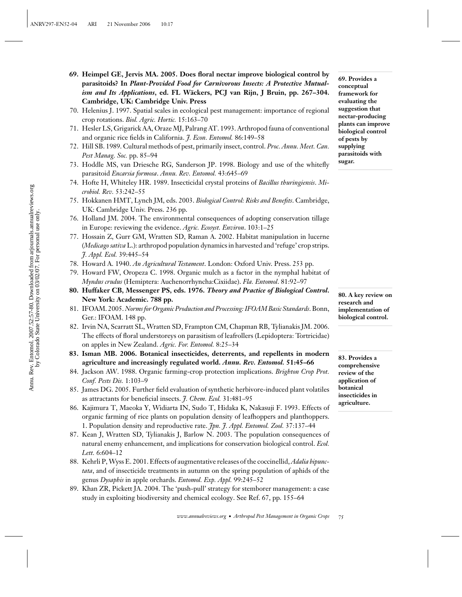Annu. Rev. Entomol. 2007.52:57-80. Downloaded from arjournals.annualreviews.org<br>by Colorado State University on 03/02/07. For personal use only. Annu. Rev. Entomol. 2007.52:57-80. Downloaded from arjournals.annualreviews.org by Colorado State University on 03/02/07. For personal use only.

- **69. Heimpel GE, Jervis MA. 2005. Does floral nectar improve biological control by parasitoids? In** *Plant-Provided Food for Carnivorous Insects: A Protective Mutualism and Its Applications***, ed. FL Wackers, PCJ van Rijn, J Bruin, pp. 267–304. ¨ Cambridge, UK: Cambridge Univ. Press**
- 70. Helenius J. 1997. Spatial scales in ecological pest management: importance of regional crop rotations. *Biol. Agric. Hortic.* 15:163–70
- 71. Hesler LS, Grigarick AA, Oraze MJ, Palrang AT. 1993. Arthropod fauna of conventional and organic rice fields in California. *J. Econ. Entomol.* 86:149–58
- 72. Hill SB. 1989. Cultural methods of pest, primarily insect, control. *Proc. Annu. Meet. Can. Pest Manag. Soc.* pp. 85–94
- 73. Hoddle MS, van Driesche RG, Sanderson JP. 1998. Biology and use of the whitefly parasitoid *Encarsia formosa*. *Annu. Rev. Entomol.* 43:645–69
- 74. Hofte H, Whiteley HR. 1989. Insecticidal crystal proteins of *Bacillus thuringiensis*. *Microbiol. Rev.* 53:242–55
- 75. Hokkanen HMT, Lynch JM, eds. 2003. *Biological Control: Risks and Benefits*. Cambridge, UK: Cambridge Univ. Press. 236 pp.
- 76. Holland JM. 2004. The environmental consequences of adopting conservation tillage in Europe: reviewing the evidence. *Agric. Ecosyst. Environ*. 103:1–25
- 77. Hossain Z, Gurr GM, Wratten SD, Raman A. 2002. Habitat manipulation in lucerne (*Medicago sativa* L.): arthropod population dynamics in harvested and 'refuge' crop strips. *J. Appl. Ecol.* 39:445–54
- 78. Howard A. 1940. *An Agricultural Testament*. London: Oxford Univ. Press. 253 pp.
- 79. Howard FW, Oropeza C. 1998. Organic mulch as a factor in the nymphal habitat of *Myndus crudus* (Hemiptera: Auchenorrhyncha:Cixiidae). *Fla. Entomol*. 81:92–97
- **80. Huffaker CB, Messenger PS, eds. 1976.** *Theory and Practice of Biological Control***. New York: Academic. 788 pp.**
- 81. IFOAM. 2005. *Norms for Organic Production and Processing: IFOAM Basic Standards*. Bonn, Ger.: IFOAM. 148 pp.
- 82. Irvin NA, Scarratt SL, Wratten SD, Frampton CM, Chapman RB, Tylianakis JM. 2006. The effects of floral understoreys on parasitism of leafrollers (Lepidoptera: Tortricidae) on apples in New Zealand. *Agric. For. Entomol.* 8:25–34
- **83. Isman MB. 2006. Botanical insecticides, deterrents, and repellents in modern agriculture and increasingly regulated world.** *Annu. Rev. Entomol.* **51:45–66**
- 84. Jackson AW. 1988. Organic farming-crop protection implications. *Brighton Crop Prot. Conf. Pests Dis.* 1:103–9
- 85. James DG. 2005. Further field evaluation of synthetic herbivore-induced plant volatiles as attractants for beneficial insects. *J. Chem. Ecol.* 31:481–95
- 86. Kajimura T, Maeoka Y, Widiarta IN, Sudo T, Hidaka K, Nakasuji F. 1993. Effects of organic farming of rice plants on population density of leafhoppers and planthoppers. 1. Population density and reproductive rate. *Jpn. J. Appl. Entomol. Zool.* 37:137–44
- 87. Kean J, Wratten SD, Tylianakis J, Barlow N. 2003. The population consequences of natural enemy enhancement, and implications for conservation biological control. *Ecol. Lett.* 6:604–12
- 88. Kehrli P, Wyss E. 2001. Effects of augmentative releases of the coccinellid, *Adalia bipunctata*, and of insecticide treatments in autumn on the spring population of aphids of the genus *Dysaphis* in apple orchards. *Entomol. Exp. Appl.* 99:245–52
- 89. Khan ZR, Pickett JA. 2004. The 'push-pull' strategy for stemborer management: a case study in exploiting biodiversity and chemical ecology. See Ref. 67, pp. 155–64

**69. Provides a conceptual framework for evaluating the suggestion that nectar-producing plants can improve biological control of pests by supplying parasitoids with sugar.**

**80. A key review on research and implementation of biological control.**

**83. Provides a comprehensive review of the application of botanical insecticides in agriculture.**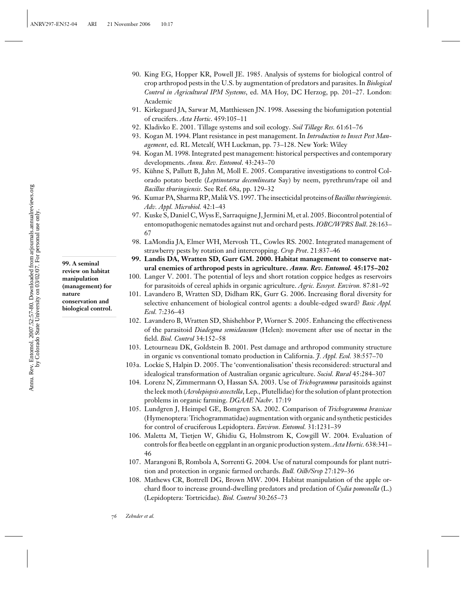**99. A seminal review on habitat manipulation (management) for nature conservation and biological control.**

- 90. King EG, Hopper KR, Powell JE. 1985. Analysis of systems for biological control of crop arthropod pests in the U.S. by augmentation of predators and parasites. In *Biological Control in Agricultural IPM Systems*, ed. MA Hoy, DC Herzog, pp. 201–27. London: Academic
- 91. Kirkegaard JA, Sarwar M, Matthiessen JN. 1998. Assessing the biofumigation potential of crucifers. *Acta Hortic*. 459:105–11
- 92. Kladivko E. 2001. Tillage systems and soil ecology. *Soil Tillage Res.* 61:61–76
- 93. Kogan M. 1994. Plant resistance in pest management. In *Introduction to Insect Pest Management*, ed. RL Metcalf, WH Luckman, pp. 73–128. New York: Wiley
- 94. Kogan M. 1998. Integrated pest management: historical perspectives and contemporary developments. *Annu. Rev. Entomol*. 43:243–70
- 95. Kuhne S, Pallutt B, Jahn M, Moll E. 2005. Comparative investigations to control Col- ¨ orado potato beetle (*Leptinotarsa decemlineata* Say) by neem, pyrethrum/rape oil and *Bacillus thuringiensis*. See Ref. 68a, pp. 129–32
- 96. Kumar PA, Sharma RP, Malik VS. 1997. The insecticidal proteins of *Bacillus thuringiensis*. *Adv. Appl. Microbiol.* 42:1–43
- 97. Kuske S, Daniel C, Wyss E, Sarraquigne J, Jermini M, et al. 2005. Biocontrol potential of entomopathogenic nematodes against nut and orchard pests. *IOBC/WPRS Bull*. 28:163– 67
- 98. LaMondia JA, Elmer WH, Mervosh TL, Cowles RS. 2002. Integrated management of strawberry pests by rotation and intercropping. *Crop Prot*. 21:837–46
- **99. Landis DA, Wratten SD, Gurr GM. 2000. Habitat management to conserve natural enemies of arthropod pests in agriculture.** *Annu. Rev. Entomol.* **45:175–202**
- 100. Langer V. 2001. The potential of leys and short rotation coppice hedges as reservoirs for parasitoids of cereal aphids in organic agriculture. *Agric. Ecosyst. Environ.* 87:81–92
- 101. Lavandero B, Wratten SD, Didham RK, Gurr G. 2006. Increasing floral diversity for selective enhancement of biological control agents: a double-edged sward? *Basic Appl. Ecol.* 7:236–43
- 102. Lavandero B, Wratten SD, Shishehbor P, Worner S. 2005. Enhancing the effectiveness of the parasitoid *Diadegma semiclausum* (Helen): movement after use of nectar in the field. *Biol. Control* 34:152–58
- 103. Letourneau DK, Goldstein B. 2001. Pest damage and arthropod community structure in organic vs conventional tomato production in California. *J. Appl. Ecol.* 38:557–70
- 103a. Lockie S, Halpin D. 2005. The 'conventionalisation' thesis reconsidered: structural and idealogical transformation of Australian organic agriculture. *Sociol. Rural* 45:284–307
- 104. Lorenz N, Zimmermann O, Hassan SA. 2003. Use of *Trichogramma* parasitoids against the leek moth (*Acrolepiopsis assectella*, Lep., Plutellidae) for the solution of plant protection problems in organic farming. *DGAAE Nachr*. 17:19
- 105. Lundgren J, Heimpel GE, Bomgren SA. 2002. Comparison of *Trichogramma brassicae* (Hymenoptera: Trichogrammatidae) augmentation with organic and synthetic pesticides for control of cruciferous Lepidoptera. *Environ. Entomol.* 31:1231–39
- 106. Maletta M, Tietjen W, Ghidiu G, Holmstrom K, Cowgill W. 2004. Evaluation of controls for flea beetle on eggplant in an organic production system.*Acta Hortic.* 638:341– 46
- 107. Marangoni B, Rombola A, Sorrenti G. 2004. Use of natural compounds for plant nutrition and protection in organic farmed orchards. *Bull. Oilb/Srop* 27:129–36
- 108. Mathews CR, Bottrell DG, Brown MW. 2004. Habitat manipulation of the apple orchard floor to increase ground-dwelling predators and predation of *Cydia pomonella* (L.) (Lepidoptera: Tortricidae). *Biol. Control* 30:265–73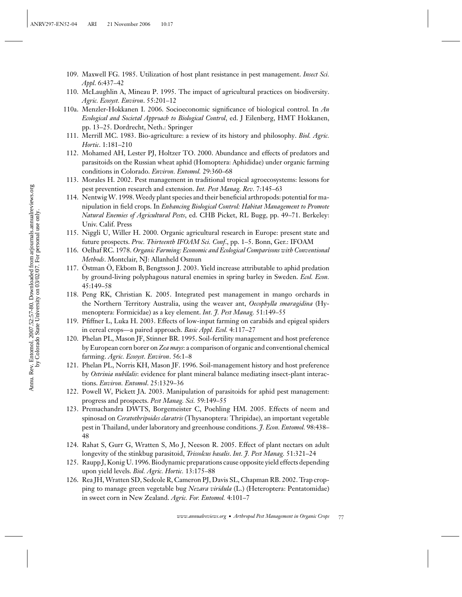- 109. Maxwell FG. 1985. Utilization of host plant resistance in pest management. *Insect Sci. Appl*. 6:437–42
- 110. McLaughlin A, Mineau P. 1995. The impact of agricultural practices on biodiversity. *Agric. Ecosyst. Environ*. 55:201–12
- 110a. Menzler-Hokkanen I. 2006. Socioeconomic significance of biological control. In *An Ecological and Societal Approach to Biological Control*, ed. J Eilenberg, HMT Hokkanen, pp. 13–25. Dordrecht, Neth.: Springer
- 111. Merrill MC. 1983. Bio-agriculture: a review of its history and philosophy. *Biol. Agric. Hortic*. 1:181–210
- 112. Mohamed AH, Lester PJ, Holtzer TO. 2000. Abundance and effects of predators and parasitoids on the Russian wheat aphid (Homoptera: Aphididae) under organic farming conditions in Colorado. *Environ. Entomol.* 29:360–68
- 113. Morales H. 2002. Pest management in traditional tropical agroecosystems: lessons for pest prevention research and extension. *Int. Pest Manag. Rev.* 7:145–63
- 114. Nentwig W. 1998. Weedy plant species and their beneficial arthropods: potential for manipulation in field crops. In *Enhancing Biological Control: Habitat Management to Promote Natural Enemies of Agricultural Pests*, ed. CHB Picket, RL Bugg, pp. 49–71. Berkeley: Univ. Calif. Press
- 115. Niggli U, Willer H. 2000. Organic agricultural research in Europe: present state and future prospects. *Proc. Thirteenth IFOAM Sci. Conf*., pp. 1–5. Bonn, Ger.: IFOAM
- 116. Oelhaf RC. 1978. *Organic Farming: Economic and Ecological Comparisons with Conventional Methods*. Montclair, NJ: Allanheld Osmun
- 117. Östman Ö, Ekbom B, Bengtsson J. 2003. Yield increase attributable to aphid predation by ground-living polyphagous natural enemies in spring barley in Sweden. *Ecol. Econ.* 45:149–58
- 118. Peng RK, Christian K. 2005. Integrated pest management in mango orchards in the Northern Territory Australia, using the weaver ant, *Oecophylla smaragidina* (Hymenoptera: Formicidae) as a key element. *Int. J. Pest Manag.* 51:149–55
- 119. Pfiffner L, Luka H. 2003. Effects of low-input farming on carabids and epigeal spiders in cereal crops—a paired approach. *Basic Appl. Ecol.* 4:117–27
- 120. Phelan PL, Mason JF, Stinner BR. 1995. Soil-fertility management and host preference by European corn borer on *Zea mays*: a comparison of organic and conventional chemical farming. *Agric. Ecosyst. Environ*. 56:1–8
- 121. Phelan PL, Norris KH, Mason JF. 1996. Soil-management history and host preference by *Ostrinia nubilalis*: evidence for plant mineral balance mediating insect-plant interactions. *Environ. Entomol*. 25:1329–36
- 122. Powell W, Pickett JA. 2003. Manipulation of parasitoids for aphid pest management: progress and prospects. *Pest Manag. Sci.* 59:149–55
- 123. Premachandra DWTS, Borgemeister C, Poehling HM. 2005. Effects of neem and spinosad on *Ceratothripoides claratris* (Thysanoptera: Thripidae), an important vegetable pest in Thailand, under laboratory and greenhouse conditions. *J. Econ. Entomol.* 98:438– 48
- 124. Rahat S, Gurr G, Wratten S, Mo J, Neeson R. 2005. Effect of plant nectars on adult longevity of the stinkbug parasitoid, *Trissolcus basalis*. *Int. J. Pest Manag.* 51:321–24
- 125. Raupp J, Konig U. 1996. Biodynamic preparations cause opposite yield effects depending upon yield levels. *Biol. Agric. Hortic.* 13:175–88
- 126. Rea JH, Wratten SD, Sedcole R, Cameron PJ, Davis SL, Chapman RB. 2002. Trap cropping to manage green vegetable bug *Nezara viridula* (L.) (Heteroptera: Pentatomidae) in sweet corn in New Zealand. *Agric. For. Entomol.* 4:101–7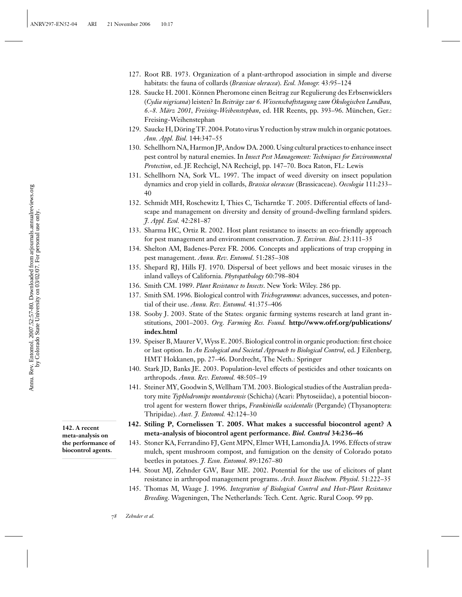- 127. Root RB. 1973. Organization of a plant-arthropod association in simple and diverse habitats: the fauna of collards (*Brassicae oleracea*). *Ecol. Monogr.* 43:95–124
- 128. Saucke H. 2001. Konnen Pheromone einen Beitrag zur Regulierung des Erbsenwicklers ¨ (*Cydia nigricana*) leisten? In *Beitr¨age zur 6. Wissenschaftstagung zum Okologischen Landbau, ¨ 6.-8. M¨arz 2001, Freising-Weihenstephan*, ed. HR Reents, pp. 393–96. Munchen, Ger.: ¨ Freising-Weihenstephan
- 129. Saucke H, Döring TF. 2004. Potato virus Y reduction by straw mulch in organic potatoes. *Ann. Appl. Biol.* 144:347–55
- 130. Schellhorn NA, Harmon JP, Andow DA. 2000. Using cultural practices to enhance insect pest control by natural enemies. In *Insect Pest Management: Techniques for Environmental Protection*, ed. JE Rechcigl, NA Rechcigl, pp. 147–70. Boca Raton, FL: Lewis
- 131. Schellhorn NA, Sork VL. 1997. The impact of weed diversity on insect population dynamics and crop yield in collards, *Brassica oleraceae* (Brassicaceae). *Oecologia* 111:233– 40
- 132. Schmidt MH, Roschewitz I, Thies C, Tscharntke T. 2005. Differential effects of landscape and management on diversity and density of ground-dwelling farmland spiders. *J. Appl. Ecol.* 42:281–87
- 133. Sharma HC, Ortiz R. 2002. Host plant resistance to insects: an eco-friendly approach for pest management and environment conservation. *J. Environ. Biol*. 23:111–35
- 134. Shelton AM, Badenes-Perez FR. 2006. Concepts and applications of trap cropping in pest management. *Annu. Rev. Entomol*. 51:285–308
- 135. Shepard RJ, Hills FJ. 1970. Dispersal of beet yellows and beet mosaic viruses in the inland valleys of California. *Phytopathology* 60:798–804
- 136. Smith CM. 1989. *Plant Resistance to Insects*. New York: Wiley. 286 pp.
- 137. Smith SM. 1996. Biological control with *Trichogramma*: advances, successes, and potential of their use. *Annu. Rev. Entomol.* 41:375–406
- 138. Sooby J. 2003. State of the States: organic farming systems research at land grant institutions, 2001–2003. *Org. Farming Res. Found.* **http://www.ofrf.org/publications/ index.html**
- 139. Speiser B, Maurer V, Wyss E. 2005. Biological control in organic production: first choice or last option. In *An Ecological and Societal Approach to Biological Control*, ed. J Eilenberg, HMT Hokkanen, pp. 27–46. Dordrecht, The Neth.: Springer
- 140. Stark JD, Banks JE. 2003. Population-level effects of pesticides and other toxicants on arthropods. *Annu. Rev. Entomol.* 48:505–19
- 141. Steiner MY, Goodwin S, Wellham TM. 2003. Biological studies of the Australian predatory mite *Typhlodromips montdorensis* (Schicha) (Acari: Phytoseiidae), a potential biocontrol agent for western flower thrips, *Frankiniella occidentalis* (Pergande) (Thysanoptera: Thripidae). *Aust. J. Entomol.* 42:124–30
- **142. Stiling P, Cornelissen T. 2005. What makes a successful biocontrol agent? A meta-analysis of biocontrol agent performance.** *Biol. Control* **34:236–46**
- 143. Stoner KA, Ferrandino FJ, Gent MPN, Elmer WH, Lamondia JA. 1996. Effects of straw mulch, spent mushroom compost, and fumigation on the density of Colorado potato beetles in potatoes. *J. Econ. Entomol*. 89:1267–80
- 144. Stout MJ, Zehnder GW, Baur ME. 2002. Potential for the use of elicitors of plant resistance in arthropod management programs. *Arch. Insect Biochem. Physiol*. 51:222–35
- 145. Thomas M, Waage J. 1996. *Integration of Biological Control and Host-Plant Resistance Breeding*. Wageningen, The Netherlands: Tech. Cent. Agric. Rural Coop. 99 pp.

**142. A recent meta-analysis on the performance of biocontrol agents.**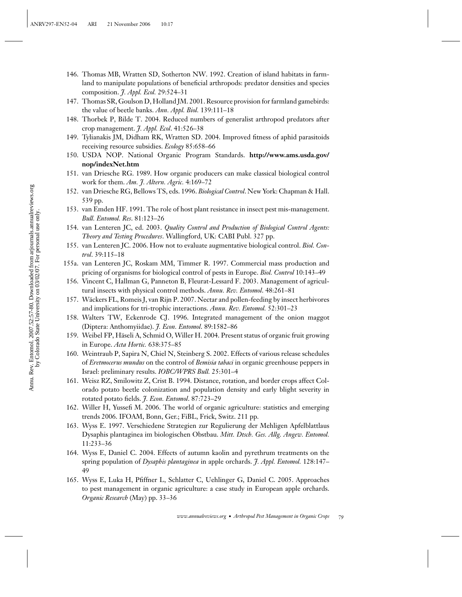- 146. Thomas MB, Wratten SD, Sotherton NW. 1992. Creation of island habitats in farmland to manipulate populations of beneficial arthropods: predator densities and species composition. *J. Appl. Ecol.* 29:524–31
- 147. Thomas SR, Goulson D, Holland JM. 2001. Resource provision for farmland gamebirds: the value of beetle banks. *Ann. Appl. Biol.* 139:111–18
- 148. Thorbek P, Bilde T. 2004. Reduced numbers of generalist arthropod predators after crop management. *J. Appl. Ecol*. 41:526–38
- 149. Tylianakis JM, Didham RK, Wratten SD. 2004. Improved fitness of aphid parasitoids receiving resource subsidies. *Ecology* 85:658–66
- 150. USDA NOP. National Organic Program Standards. **http://www.ams.usda.gov/ nop/indexNet.htm**
- 151. van Driesche RG. 1989. How organic producers can make classical biological control work for them. *Am. J. Altern. Agric.* 4:169–72
- 152. van Driesche RG, Bellows TS, eds. 1996. *Biological Control*. New York: Chapman & Hall. 539 pp.
- 153. van Emden HF. 1991. The role of host plant resistance in insect pest mis-management. *Bull. Entomol. Res*. 81:123–26
- 154. van Lenteren JC, ed. 2003. *Quality Control and Production of Biological Control Agents: Theory and Testing Procedures*. Wallingford, UK: CABI Publ. 327 pp.
- 155. van Lenteren JC. 2006. How not to evaluate augmentative biological control. *Biol. Control*. 39:115–18
- 155a. van Lenteren JC, Roskam MM, Timmer R. 1997. Commercial mass production and pricing of organisms for biological control of pests in Europe. *Biol. Control* 10:143–49
- 156. Vincent C, Hallman G, Panneton B, Fleurat-Lessard F. 2003. Management of agricultural insects with physical control methods. *Annu. Rev. Entomol*. 48:261–81
- 157. Wackers FL, Romeis J, van Rijn P. 2007. Nectar and pollen-feeding by insect herbivores ¨ and implications for tri-trophic interactions. *Annu. Rev. Entomol.* 52:301–23
- 158. Walters TW, Eckenrode CJ. 1996. Integrated management of the onion maggot (Diptera: Anthomyiidae). *J. Econ. Entomol*. 89:1582–86
- 159. Weibel FP, Haseli A, Schmid O, Willer H. 2004. Present status of organic fruit growing ¨ in Europe. *Acta Hortic.* 638:375–85
- 160. Weintraub P, Sapira N, Chiel N, Steinberg S. 2002. Effects of various release schedules of *Eretmocerus mundus* on the control of *Bemisia tabaci* in organic greenhouse peppers in Israel: preliminary results. *IOBC/WPRS Bull.* 25:301–4
- 161. Weisz RZ, Smilowitz Z, Crist B. 1994. Distance, rotation, and border crops affect Colorado potato beetle colonization and population density and early blight severity in rotated potato fields. *J. Econ. Entomol*. 87:723–29
- 162. Willer H, Yussefi M. 2006. The world of organic agriculture: statistics and emerging trends 2006. IFOAM, Bonn, Ger.; FiBL, Frick, Switz. 211 pp.
- 163. Wyss E. 1997. Verschiedene Strategien zur Regulierung der Mehligen Apfelblattlaus Dysaphis plantaginea im biologischen Obstbau. *Mitt. Dtsch. Ges. Allg. Angew. Entomol.* 11:233–36
- 164. Wyss E, Daniel C. 2004. Effects of autumn kaolin and pyrethrum treatments on the spring population of *Dysaphis plantaginea* in apple orchards. *J. Appl. Entomol.* 128:147– 49
- 165. Wyss E, Luka H, Pfiffner L, Schlatter C, Uehlinger G, Daniel C. 2005. Approaches to pest management in organic agriculture: a case study in European apple orchards. *Organic Research* (May) pp. 33–36